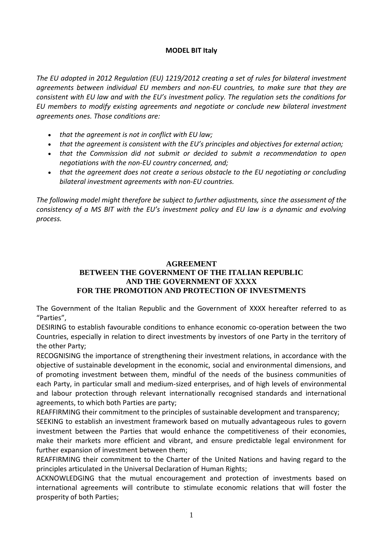## **MODEL BIT Italy**

*The EU adopted in 2012 Regulation (EU) 1219/2012 creating a set of rules for bilateral investment agreements between individual EU members and non-EU countries, to make sure that they are consistent with EU law and with the EU's investment policy. The regulation sets the conditions for EU members to modify existing agreements and negotiate or conclude new bilateral investment agreements ones. Those conditions are:* 

- *that the agreement is not in conflict with EU law;*
- that the agreement is consistent with the EU's principles and objectives for external action;
- *that the Commission did not submit or decided to submit a recommendation to open negotiations with the non-EU country concerned, and;*
- *that the agreement does not create a serious obstacle to the EU negotiating or concluding bilateral investment agreements with non-EU countries.*

*The following model might therefore be subject to further adjustments, since the assessment of the consistency of a MS BIT with the EU's investment policy and EU law is a dynamic and evolving process.*

## **AGREEMENT BETWEEN THE GOVERNMENT OF THE ITALIAN REPUBLIC AND THE GOVERNMENT OF XXXX FOR THE PROMOTION AND PROTECTION OF INVESTMENTS**

The Government of the Italian Republic and the Government of XXXX hereafter referred to as "Parties",

DESIRING to establish favourable conditions to enhance economic co-operation between the two Countries, especially in relation to direct investments by investors of one Party in the territory of the other Party;

RECOGNISING the importance of strengthening their investment relations, in accordance with the objective of sustainable development in the economic, social and environmental dimensions, and of promoting investment between them, mindful of the needs of the business communities of each Party, in particular small and medium-sized enterprises, and of high levels of environmental and labour protection through relevant internationally recognised standards and international agreements, to which both Parties are party;

REAFFIRMING their commitment to the principles of sustainable development and transparency;

SEEKING to establish an investment framework based on mutually advantageous rules to govern investment between the Parties that would enhance the competitiveness of their economies, make their markets more efficient and vibrant, and ensure predictable legal environment for further expansion of investment between them;

REAFFIRMING their commitment to the Charter of the United Nations and having regard to the principles articulated in the Universal Declaration of Human Rights;

ACKNOWLEDGING that the mutual encouragement and protection of investments based on international agreements will contribute to stimulate economic relations that will foster the prosperity of both Parties;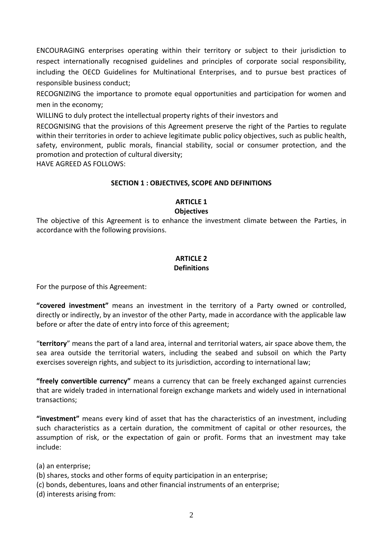ENCOURAGING enterprises operating within their territory or subject to their jurisdiction to respect internationally recognised guidelines and principles of corporate social responsibility, including the OECD Guidelines for Multinational Enterprises, and to pursue best practices of responsible business conduct;

RECOGNIZING the importance to promote equal opportunities and participation for women and men in the economy;

WILLING to duly protect the intellectual property rights of their investors and

RECOGNISING that the provisions of this Agreement preserve the right of the Parties to regulate within their territories in order to achieve legitimate public policy objectives, such as public health, safety, environment, public morals, financial stability, social or consumer protection, and the promotion and protection of cultural diversity;

HAVE AGREED AS FOLLOWS:

## **SECTION 1 : OBJECTIVES, SCOPE AND DEFINITIONS**

## **ARTICLE 1**

#### **Objectives**

The objective of this Agreement is to enhance the investment climate between the Parties, in accordance with the following provisions.

#### **ARTICLE 2 Definitions**

For the purpose of this Agreement:

**"covered investment"** means an investment in the territory of a Party owned or controlled, directly or indirectly, by an investor of the other Party, made in accordance with the applicable law before or after the date of entry into force of this agreement;

"**territory**" means the part of a land area, internal and territorial waters, air space above them, the sea area outside the territorial waters, including the seabed and subsoil on which the Party exercises sovereign rights, and subject to its jurisdiction, according to international law;

**"freely convertible currency"** means a currency that can be freely exchanged against currencies that are widely traded in international foreign exchange markets and widely used in international transactions;

**"investment"** means every kind of asset that has the characteristics of an investment, including such characteristics as a certain duration, the commitment of capital or other resources, the assumption of risk, or the expectation of gain or profit. Forms that an investment may take include:

(a) an enterprise;

- (b) shares, stocks and other forms of equity participation in an enterprise;
- (c) bonds, debentures, loans and other financial instruments of an enterprise;

(d) interests arising from: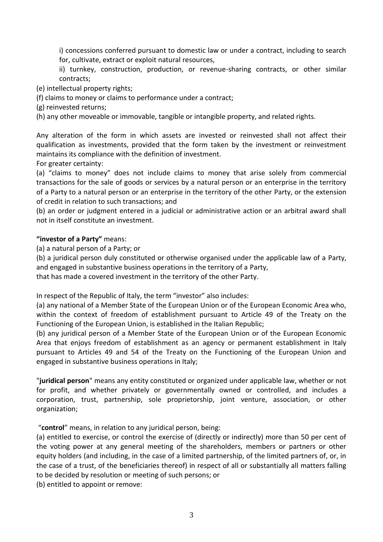i) concessions conferred pursuant to domestic law or under a contract, including to search for, cultivate, extract or exploit natural resources,

ii) turnkey, construction, production, or revenue-sharing contracts, or other similar contracts;

(e) intellectual property rights;

(f) claims to money or claims to performance under a contract;

(g) reinvested returns;

(h) any other moveable or immovable, tangible or intangible property, and related rights.

Any alteration of the form in which assets are invested or reinvested shall not affect their qualification as investments, provided that the form taken by the investment or reinvestment maintains its compliance with the definition of investment.

For greater certainty:

(a) "claims to money" does not include claims to money that arise solely from commercial transactions for the sale of goods or services by a natural person or an enterprise in the territory of a Party to a natural person or an enterprise in the territory of the other Party, or the extension of credit in relation to such transactions; and

(b) an order or judgment entered in a judicial or administrative action or an arbitral award shall not in itself constitute an investment.

## **"investor of a Party"** means:

(a) a natural person of a Party; or

(b) a juridical person duly constituted or otherwise organised under the applicable law of a Party, and engaged in substantive business operations in the territory of a Party,

that has made a covered investment in the territory of the other Party.

In respect of the Republic of Italy, the term "investor" also includes:

(a) any national of a Member State of the European Union or of the European Economic Area who, within the context of freedom of establishment pursuant to Article 49 of the Treaty on the Functioning of the European Union, is established in the Italian Republic;

(b) any juridical person of a Member State of the European Union or of the European Economic Area that enjoys freedom of establishment as an agency or permanent establishment in Italy pursuant to Articles 49 and 54 of the Treaty on the Functioning of the European Union and engaged in substantive business operations in Italy;

"**juridical person**" means any entity constituted or organized under applicable law, whether or not for profit, and whether privately or governmentally owned or controlled, and includes a corporation, trust, partnership, sole proprietorship, joint venture, association, or other organization;

"**control**" means, in relation to any juridical person, being:

(a) entitled to exercise, or control the exercise of (directly or indirectly) more than 50 per cent of the voting power at any general meeting of the shareholders, members or partners or other equity holders (and including, in the case of a limited partnership, of the limited partners of, or, in the case of a trust, of the beneficiaries thereof) in respect of all or substantially all matters falling to be decided by resolution or meeting of such persons; or

(b) entitled to appoint or remove: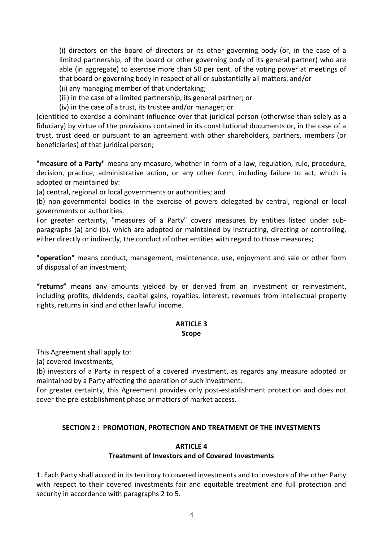(i) directors on the board of directors or its other governing body (or, in the case of a limited partnership, of the board or other governing body of its general partner) who are able (in aggregate) to exercise more than 50 per cent. of the voting power at meetings of that board or governing body in respect of all or substantially all matters; and/or

- (ii) any managing member of that undertaking;
- (iii) in the case of a limited partnership, its general partner; or
- (iv) in the case of a trust, its trustee and/or manager; or

(c)entitled to exercise a dominant influence over that juridical person (otherwise than solely as a fiduciary) by virtue of the provisions contained in its constitutional documents or, in the case of a trust, trust deed or pursuant to an agreement with other shareholders, partners, members (or beneficiaries) of that juridical person;

**"measure of a Party"** means any measure, whether in form of a law, regulation, rule, procedure, decision, practice, administrative action, or any other form, including failure to act, which is adopted or maintained by:

(a) central, regional or local governments or authorities; and

(b) non-governmental bodies in the exercise of powers delegated by central, regional or local governments or authorities.

For greater certainty, "measures of a Party" covers measures by entities listed under subparagraphs (a) and (b), which are adopted or maintained by instructing, directing or controlling, either directly or indirectly, the conduct of other entities with regard to those measures;

**"operation"** means conduct, management, maintenance, use, enjoyment and sale or other form of disposal of an investment;

**"returns"** means any amounts yielded by or derived from an investment or reinvestment, including profits, dividends, capital gains, royalties, interest, revenues from intellectual property rights, returns in kind and other lawful income.

#### **ARTICLE 3 Scope**

This Agreement shall apply to:

(a) covered investments;

(b) investors of a Party in respect of a covered investment, as regards any measure adopted or maintained by a Party affecting the operation of such investment.

For greater certainty, this Agreement provides only post-establishment protection and does not cover the pre-establishment phase or matters of market access.

#### **SECTION 2 : PROMOTION, PROTECTION AND TREATMENT OF THE INVESTMENTS**

#### **ARTICLE 4**

#### **Treatment of Investors and of Covered Investments**

1. Each Party shall accord in its territory to covered investments and to investors of the other Party with respect to their covered investments fair and equitable treatment and full protection and security in accordance with paragraphs 2 to 5.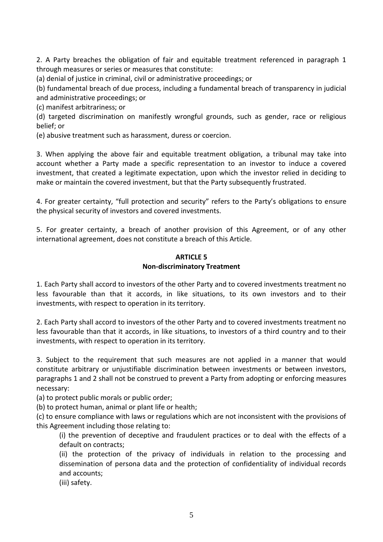2. A Party breaches the obligation of fair and equitable treatment referenced in paragraph 1 through measures or series or measures that constitute:

(a) denial of justice in criminal, civil or administrative proceedings; or

(b) fundamental breach of due process, including a fundamental breach of transparency in judicial and administrative proceedings; or

(c) manifest arbitrariness; or

(d) targeted discrimination on manifestly wrongful grounds, such as gender, race or religious belief; or

(e) abusive treatment such as harassment, duress or coercion.

3. When applying the above fair and equitable treatment obligation, a tribunal may take into account whether a Party made a specific representation to an investor to induce a covered investment, that created a legitimate expectation, upon which the investor relied in deciding to make or maintain the covered investment, but that the Party subsequently frustrated.

4. For greater certainty, "full protection and security" refers to the Party's obligations to ensure the physical security of investors and covered investments.

5. For greater certainty, a breach of another provision of this Agreement, or of any other international agreement, does not constitute a breach of this Article.

## **ARTICLE 5 Non-discriminatory Treatment**

1. Each Party shall accord to investors of the other Party and to covered investments treatment no less favourable than that it accords, in like situations, to its own investors and to their investments, with respect to operation in its territory.

2. Each Party shall accord to investors of the other Party and to covered investments treatment no less favourable than that it accords, in like situations, to investors of a third country and to their investments, with respect to operation in its territory.

3. Subject to the requirement that such measures are not applied in a manner that would constitute arbitrary or unjustifiable discrimination between investments or between investors, paragraphs 1 and 2 shall not be construed to prevent a Party from adopting or enforcing measures necessary:

(a) to protect public morals or public order;

(b) to protect human, animal or plant life or health;

(c) to ensure compliance with laws or regulations which are not inconsistent with the provisions of this Agreement including those relating to:

(i) the prevention of deceptive and fraudulent practices or to deal with the effects of a default on contracts;

(ii) the protection of the privacy of individuals in relation to the processing and dissemination of persona data and the protection of confidentiality of individual records and accounts;

(iii) safety.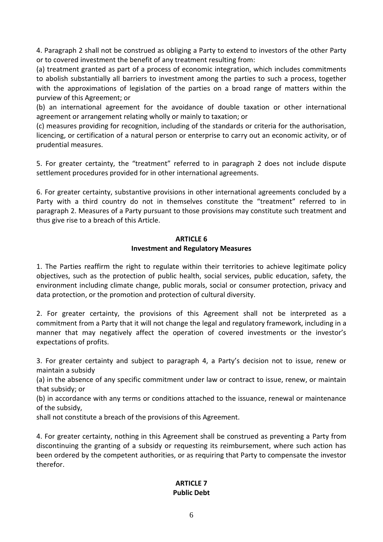4. Paragraph 2 shall not be construed as obliging a Party to extend to investors of the other Party or to covered investment the benefit of any treatment resulting from:

(a) treatment granted as part of a process of economic integration, which includes commitments to abolish substantially all barriers to investment among the parties to such a process, together with the approximations of legislation of the parties on a broad range of matters within the purview of this Agreement; or

(b) an international agreement for the avoidance of double taxation or other international agreement or arrangement relating wholly or mainly to taxation; or

(c) measures providing for recognition, including of the standards or criteria for the authorisation, licencing, or certification of a natural person or enterprise to carry out an economic activity, or of prudential measures.

5. For greater certainty, the "treatment" referred to in paragraph 2 does not include dispute settlement procedures provided for in other international agreements.

6. For greater certainty, substantive provisions in other international agreements concluded by a Party with a third country do not in themselves constitute the "treatment" referred to in paragraph 2. Measures of a Party pursuant to those provisions may constitute such treatment and thus give rise to a breach of this Article.

## **ARTICLE 6 Investment and Regulatory Measures**

1. The Parties reaffirm the right to regulate within their territories to achieve legitimate policy objectives, such as the protection of public health, social services, public education, safety, the environment including climate change, public morals, social or consumer protection, privacy and data protection, or the promotion and protection of cultural diversity.

2. For greater certainty, the provisions of this Agreement shall not be interpreted as a commitment from a Party that it will not change the legal and regulatory framework, including in a manner that may negatively affect the operation of covered investments or the investor's expectations of profits.

3. For greater certainty and subject to paragraph 4, a Party's decision not to issue, renew or maintain a subsidy

(a) in the absence of any specific commitment under law or contract to issue, renew, or maintain that subsidy; or

(b) in accordance with any terms or conditions attached to the issuance, renewal or maintenance of the subsidy,

shall not constitute a breach of the provisions of this Agreement.

4. For greater certainty, nothing in this Agreement shall be construed as preventing a Party from discontinuing the granting of a subsidy or requesting its reimbursement, where such action has been ordered by the competent authorities, or as requiring that Party to compensate the investor therefor.

## **ARTICLE 7 Public Debt**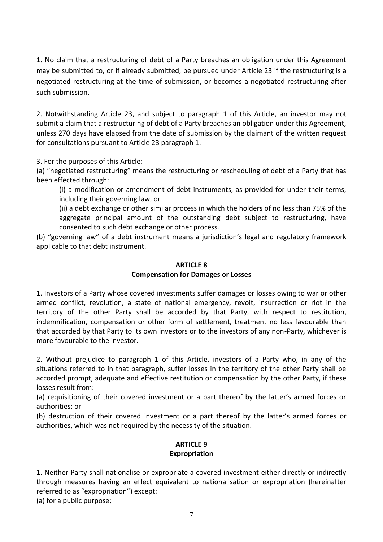1. No claim that a restructuring of debt of a Party breaches an obligation under this Agreement may be submitted to, or if already submitted, be pursued under Article 23 if the restructuring is a negotiated restructuring at the time of submission, or becomes a negotiated restructuring after such submission.

2. Notwithstanding Article 23, and subject to paragraph 1 of this Article, an investor may not submit a claim that a restructuring of debt of a Party breaches an obligation under this Agreement, unless 270 days have elapsed from the date of submission by the claimant of the written request for consultations pursuant to Article 23 paragraph 1.

3. For the purposes of this Article:

(a) "negotiated restructuring" means the restructuring or rescheduling of debt of a Party that has been effected through:

(i) a modification or amendment of debt instruments, as provided for under their terms, including their governing law, or

(ii) a debt exchange or other similar process in which the holders of no less than 75% of the aggregate principal amount of the outstanding debt subject to restructuring, have consented to such debt exchange or other process.

(b) "governing law" of a debt instrument means a jurisdiction's legal and regulatory framework applicable to that debt instrument.

#### **ARTICLE 8**

#### **Compensation for Damages or Losses**

1. Investors of a Party whose covered investments suffer damages or losses owing to war or other armed conflict, revolution, a state of national emergency, revolt, insurrection or riot in the territory of the other Party shall be accorded by that Party, with respect to restitution, indemnification, compensation or other form of settlement, treatment no less favourable than that accorded by that Party to its own investors or to the investors of any non-Party, whichever is more favourable to the investor.

2. Without prejudice to paragraph 1 of this Article, investors of a Party who, in any of the situations referred to in that paragraph, suffer losses in the territory of the other Party shall be accorded prompt, adequate and effective restitution or compensation by the other Party, if these losses result from:

(a) requisitioning of their covered investment or a part thereof by the latter's armed forces or authorities; or

(b) destruction of their covered investment or a part thereof by the latter's armed forces or authorities, which was not required by the necessity of the situation.

## **ARTICLE 9 Expropriation**

1. Neither Party shall nationalise or expropriate a covered investment either directly or indirectly through measures having an effect equivalent to nationalisation or expropriation (hereinafter referred to as "expropriation") except:

(a) for a public purpose;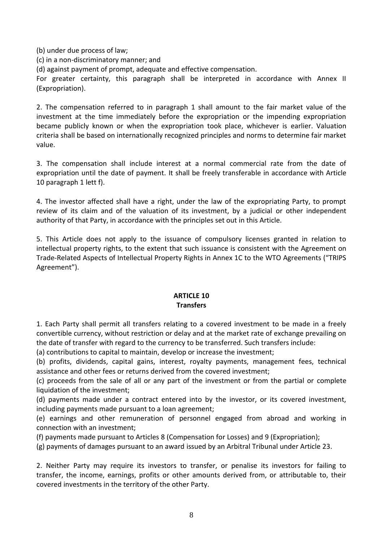(b) under due process of law;

(c) in a non-discriminatory manner; and

(d) against payment of prompt, adequate and effective compensation.

For greater certainty, this paragraph shall be interpreted in accordance with Annex II (Expropriation).

2. The compensation referred to in paragraph 1 shall amount to the fair market value of the investment at the time immediately before the expropriation or the impending expropriation became publicly known or when the expropriation took place, whichever is earlier. Valuation criteria shall be based on internationally recognized principles and norms to determine fair market value.

3. The compensation shall include interest at a normal commercial rate from the date of expropriation until the date of payment. It shall be freely transferable in accordance with Article 10 paragraph 1 lett f).

4. The investor affected shall have a right, under the law of the expropriating Party, to prompt review of its claim and of the valuation of its investment, by a judicial or other independent authority of that Party, in accordance with the principles set out in this Article.

5. This Article does not apply to the issuance of compulsory licenses granted in relation to intellectual property rights, to the extent that such issuance is consistent with the Agreement on Trade-Related Aspects of Intellectual Property Rights in Annex 1C to the WTO Agreements ("TRIPS Agreement").

## **ARTICLE 10 Transfers**

1. Each Party shall permit all transfers relating to a covered investment to be made in a freely convertible currency, without restriction or delay and at the market rate of exchange prevailing on the date of transfer with regard to the currency to be transferred. Such transfers include:

(a) contributions to capital to maintain, develop or increase the investment;

(b) profits, dividends, capital gains, interest, royalty payments, management fees, technical assistance and other fees or returns derived from the covered investment;

(c) proceeds from the sale of all or any part of the investment or from the partial or complete liquidation of the investment;

(d) payments made under a contract entered into by the investor, or its covered investment, including payments made pursuant to a loan agreement;

(e) earnings and other remuneration of personnel engaged from abroad and working in connection with an investment;

(f) payments made pursuant to Articles 8 (Compensation for Losses) and 9 (Expropriation);

(g) payments of damages pursuant to an award issued by an Arbitral Tribunal under Article 23.

2. Neither Party may require its investors to transfer, or penalise its investors for failing to transfer, the income, earnings, profits or other amounts derived from, or attributable to, their covered investments in the territory of the other Party.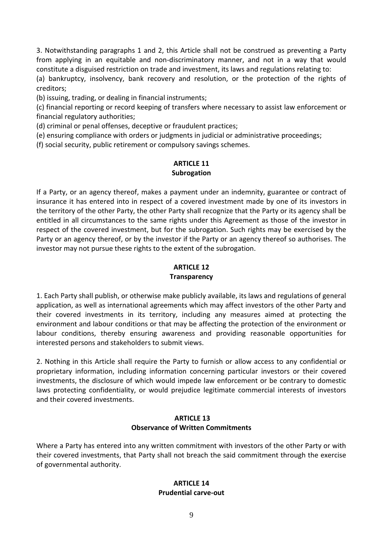3. Notwithstanding paragraphs 1 and 2, this Article shall not be construed as preventing a Party from applying in an equitable and non-discriminatory manner, and not in a way that would constitute a disguised restriction on trade and investment, its laws and regulations relating to:

(a) bankruptcy, insolvency, bank recovery and resolution, or the protection of the rights of creditors;

(b) issuing, trading, or dealing in financial instruments;

(c) financial reporting or record keeping of transfers where necessary to assist law enforcement or financial regulatory authorities;

(d) criminal or penal offenses, deceptive or fraudulent practices;

(e) ensuring compliance with orders or judgments in judicial or administrative proceedings;

(f) social security, public retirement or compulsory savings schemes.

## **ARTICLE 11 Subrogation**

If a Party, or an agency thereof, makes a payment under an indemnity, guarantee or contract of insurance it has entered into in respect of a covered investment made by one of its investors in the territory of the other Party, the other Party shall recognize that the Party or its agency shall be entitled in all circumstances to the same rights under this Agreement as those of the investor in respect of the covered investment, but for the subrogation. Such rights may be exercised by the Party or an agency thereof, or by the investor if the Party or an agency thereof so authorises. The investor may not pursue these rights to the extent of the subrogation.

# **ARTICLE 12**

## **Transparency**

1. Each Party shall publish, or otherwise make publicly available, its laws and regulations of general application, as well as international agreements which may affect investors of the other Party and their covered investments in its territory, including any measures aimed at protecting the environment and labour conditions or that may be affecting the protection of the environment or labour conditions, thereby ensuring awareness and providing reasonable opportunities for interested persons and stakeholders to submit views.

2. Nothing in this Article shall require the Party to furnish or allow access to any confidential or proprietary information, including information concerning particular investors or their covered investments, the disclosure of which would impede law enforcement or be contrary to domestic laws protecting confidentiality, or would prejudice legitimate commercial interests of investors and their covered investments.

## **ARTICLE 13 Observance of Written Commitments**

Where a Party has entered into any written commitment with investors of the other Party or with their covered investments, that Party shall not breach the said commitment through the exercise of governmental authority.

## **ARTICLE 14 Prudential carve-out**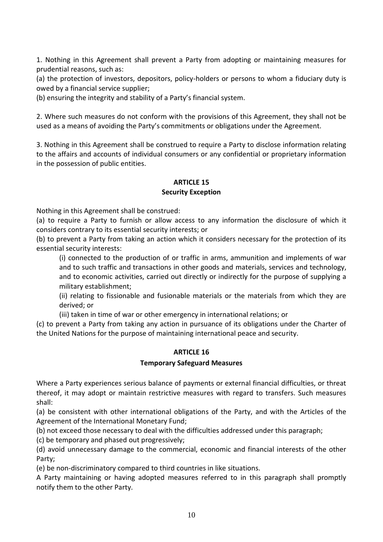1. Nothing in this Agreement shall prevent a Party from adopting or maintaining measures for prudential reasons, such as:

(a) the protection of investors, depositors, policy-holders or persons to whom a fiduciary duty is owed by a financial service supplier;

(b) ensuring the integrity and stability of a Party's financial system.

2. Where such measures do not conform with the provisions of this Agreement, they shall not be used as a means of avoiding the Party's commitments or obligations under the Agreement.

3. Nothing in this Agreement shall be construed to require a Party to disclose information relating to the affairs and accounts of individual consumers or any confidential or proprietary information in the possession of public entities.

# **ARTICLE 15**

## **Security Exception**

Nothing in this Agreement shall be construed:

(a) to require a Party to furnish or allow access to any information the disclosure of which it considers contrary to its essential security interests; or

(b) to prevent a Party from taking an action which it considers necessary for the protection of its essential security interests:

(i) connected to the production of or traffic in arms, ammunition and implements of war and to such traffic and transactions in other goods and materials, services and technology, and to economic activities, carried out directly or indirectly for the purpose of supplying a military establishment;

(ii) relating to fissionable and fusionable materials or the materials from which they are derived; or

(iii) taken in time of war or other emergency in international relations; or

(c) to prevent a Party from taking any action in pursuance of its obligations under the Charter of the United Nations for the purpose of maintaining international peace and security.

## **ARTICLE 16**

## **Temporary Safeguard Measures**

Where a Party experiences serious balance of payments or external financial difficulties, or threat thereof, it may adopt or maintain restrictive measures with regard to transfers. Such measures shall:

(a) be consistent with other international obligations of the Party, and with the Articles of the Agreement of the International Monetary Fund;

(b) not exceed those necessary to deal with the difficulties addressed under this paragraph;

(c) be temporary and phased out progressively;

(d) avoid unnecessary damage to the commercial, economic and financial interests of the other Party;

(e) be non-discriminatory compared to third countries in like situations.

A Party maintaining or having adopted measures referred to in this paragraph shall promptly notify them to the other Party.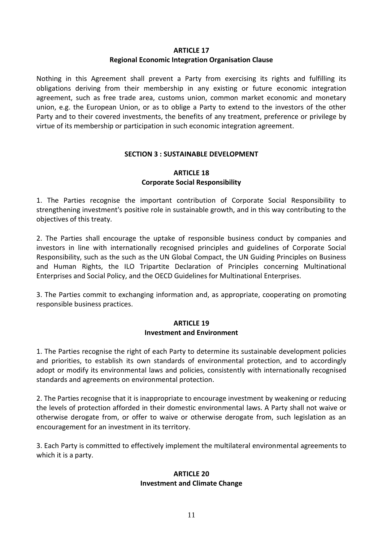#### **ARTICLE 17**

# **Regional Economic Integration Organisation Clause**

Nothing in this Agreement shall prevent a Party from exercising its rights and fulfilling its obligations deriving from their membership in any existing or future economic integration agreement, such as free trade area, customs union, common market economic and monetary union, e.g. the European Union, or as to oblige a Party to extend to the investors of the other Party and to their covered investments, the benefits of any treatment, preference or privilege by virtue of its membership or participation in such economic integration agreement.

# **SECTION 3 : SUSTAINABLE DEVELOPMENT**

## **ARTICLE 18 Corporate Social Responsibility**

1. The Parties recognise the important contribution of Corporate Social Responsibility to strengthening investment's positive role in sustainable growth, and in this way contributing to the objectives of this treaty.

2. The Parties shall encourage the uptake of responsible business conduct by companies and investors in line with internationally recognised principles and guidelines of Corporate Social Responsibility, such as the such as the UN Global Compact, the UN Guiding Principles on Business and Human Rights, the ILO Tripartite Declaration of Principles concerning Multinational Enterprises and Social Policy, and the OECD Guidelines for Multinational Enterprises.

3. The Parties commit to exchanging information and, as appropriate, cooperating on promoting responsible business practices.

## **ARTICLE 19 Investment and Environment**

1. The Parties recognise the right of each Party to determine its sustainable development policies and priorities, to establish its own standards of environmental protection, and to accordingly adopt or modify its environmental laws and policies, consistently with internationally recognised standards and agreements on environmental protection.

2. The Parties recognise that it is inappropriate to encourage investment by weakening or reducing the levels of protection afforded in their domestic environmental laws. A Party shall not waive or otherwise derogate from, or offer to waive or otherwise derogate from, such legislation as an encouragement for an investment in its territory.

3. Each Party is committed to effectively implement the multilateral environmental agreements to which it is a party.

# **ARTICLE 20 Investment and Climate Change**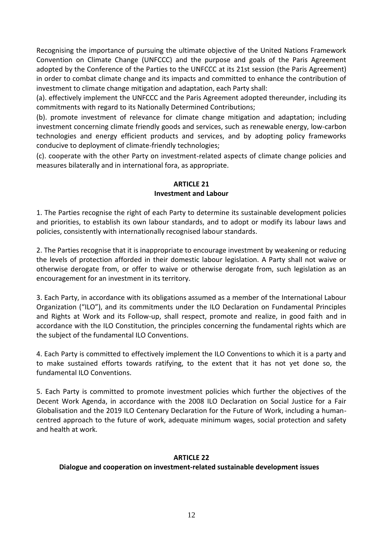Recognising the importance of pursuing the ultimate objective of the United Nations Framework Convention on Climate Change (UNFCCC) and the purpose and goals of the Paris Agreement adopted by the Conference of the Parties to the UNFCCC at its 21st session (the Paris Agreement) in order to combat climate change and its impacts and committed to enhance the contribution of investment to climate change mitigation and adaptation, each Party shall:

(a). effectively implement the UNFCCC and the Paris Agreement adopted thereunder, including its commitments with regard to its Nationally Determined Contributions;

(b). promote investment of relevance for climate change mitigation and adaptation; including investment concerning climate friendly goods and services, such as renewable energy, low-carbon technologies and energy efficient products and services, and by adopting policy frameworks conducive to deployment of climate-friendly technologies;

(c). cooperate with the other Party on investment-related aspects of climate change policies and measures bilaterally and in international fora, as appropriate.

#### **ARTICLE 21 Investment and Labour**

1. The Parties recognise the right of each Party to determine its sustainable development policies and priorities, to establish its own labour standards, and to adopt or modify its labour laws and policies, consistently with internationally recognised labour standards.

2. The Parties recognise that it is inappropriate to encourage investment by weakening or reducing the levels of protection afforded in their domestic labour legislation. A Party shall not waive or otherwise derogate from, or offer to waive or otherwise derogate from, such legislation as an encouragement for an investment in its territory.

3. Each Party, in accordance with its obligations assumed as a member of the International Labour Organization ("ILO"), and its commitments under the ILO Declaration on Fundamental Principles and Rights at Work and its Follow-up, shall respect, promote and realize, in good faith and in accordance with the ILO Constitution, the principles concerning the fundamental rights which are the subject of the fundamental ILO Conventions.

4. Each Party is committed to effectively implement the ILO Conventions to which it is a party and to make sustained efforts towards ratifying, to the extent that it has not yet done so, the fundamental ILO Conventions.

5. Each Party is committed to promote investment policies which further the objectives of the Decent Work Agenda, in accordance with the 2008 ILO Declaration on Social Justice for a Fair Globalisation and the 2019 ILO Centenary Declaration for the Future of Work, including a humancentred approach to the future of work, adequate minimum wages, social protection and safety and health at work.

## **ARTICLE 22**

## **Dialogue and cooperation on investment-related sustainable development issues**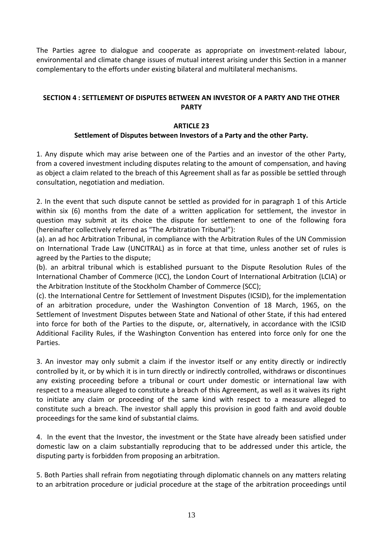The Parties agree to dialogue and cooperate as appropriate on investment-related labour, environmental and climate change issues of mutual interest arising under this Section in a manner complementary to the efforts under existing bilateral and multilateral mechanisms.

## **SECTION 4 : SETTLEMENT OF DISPUTES BETWEEN AN INVESTOR OF A PARTY AND THE OTHER PARTY**

## **ARTICLE 23**

## **Settlement of Disputes between Investors of a Party and the other Party.**

1. Any dispute which may arise between one of the Parties and an investor of the other Party, from a covered investment including disputes relating to the amount of compensation, and having as object a claim related to the breach of this Agreement shall as far as possible be settled through consultation, negotiation and mediation.

2. In the event that such dispute cannot be settled as provided for in paragraph 1 of this Article within six (6) months from the date of a written application for settlement, the investor in question may submit at its choice the dispute for settlement to one of the following fora (hereinafter collectively referred as "The Arbitration Tribunal"):

(a). an ad hoc Arbitration Tribunal, in compliance with the Arbitration Rules of the UN Commission on International Trade Law (UNCITRAL) as in force at that time, unless another set of rules is agreed by the Parties to the dispute;

(b). an arbitral tribunal which is established pursuant to the Dispute Resolution Rules of the International Chamber of Commerce (ICC), the London Court of International Arbitration (LCIA) or the Arbitration Institute of the Stockholm Chamber of Commerce (SCC);

(c). the International Centre for Settlement of Investment Disputes (ICSID), for the implementation of an arbitration procedure, under the Washington Convention of 18 March, 1965, on the Settlement of Investment Disputes between State and National of other State, if this had entered into force for both of the Parties to the dispute, or, alternatively, in accordance with the ICSID Additional Facility Rules, if the Washington Convention has entered into force only for one the Parties.

3. An investor may only submit a claim if the investor itself or any entity directly or indirectly controlled by it, or by which it is in turn directly or indirectly controlled, withdraws or discontinues any existing proceeding before a tribunal or court under domestic or international law with respect to a measure alleged to constitute a breach of this Agreement, as well as it waives its right to initiate any claim or proceeding of the same kind with respect to a measure alleged to constitute such a breach. The investor shall apply this provision in good faith and avoid double proceedings for the same kind of substantial claims.

4. In the event that the Investor, the investment or the State have already been satisfied under domestic law on a claim substantially reproducing that to be addressed under this article, the disputing party is forbidden from proposing an arbitration.

5. Both Parties shall refrain from negotiating through diplomatic channels on any matters relating to an arbitration procedure or judicial procedure at the stage of the arbitration proceedings until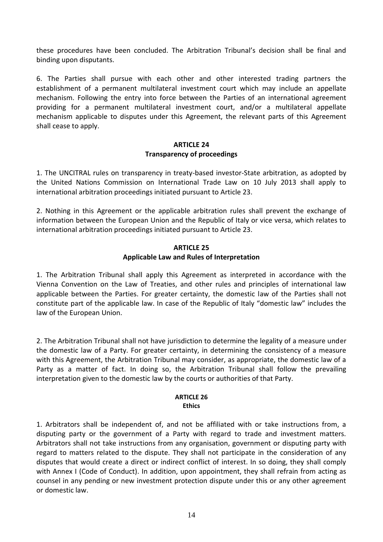these procedures have been concluded. The Arbitration Tribunal's decision shall be final and binding upon disputants.

6. The Parties shall pursue with each other and other interested trading partners the establishment of a permanent multilateral investment court which may include an appellate mechanism. Following the entry into force between the Parties of an international agreement providing for a permanent multilateral investment court, and/or a multilateral appellate mechanism applicable to disputes under this Agreement, the relevant parts of this Agreement shall cease to apply.

## **ARTICLE 24 Transparency of proceedings**

1. The UNCITRAL rules on transparency in treaty-based investor-State arbitration, as adopted by the United Nations Commission on International Trade Law on 10 July 2013 shall apply to international arbitration proceedings initiated pursuant to Article 23.

2. Nothing in this Agreement or the applicable arbitration rules shall prevent the exchange of information between the European Union and the Republic of Italy or vice versa, which relates to international arbitration proceedings initiated pursuant to Article 23.

## **ARTICLE 25 Applicable Law and Rules of Interpretation**

1. The Arbitration Tribunal shall apply this Agreement as interpreted in accordance with the Vienna Convention on the Law of Treaties, and other rules and principles of international law applicable between the Parties. For greater certainty, the domestic law of the Parties shall not constitute part of the applicable law. In case of the Republic of Italy "domestic law" includes the law of the European Union.

2. The Arbitration Tribunal shall not have jurisdiction to determine the legality of a measure under the domestic law of a Party. For greater certainty, in determining the consistency of a measure with this Agreement, the Arbitration Tribunal may consider, as appropriate, the domestic law of a Party as a matter of fact. In doing so, the Arbitration Tribunal shall follow the prevailing interpretation given to the domestic law by the courts or authorities of that Party.

#### **ARTICLE 26 Ethics**

1. Arbitrators shall be independent of, and not be affiliated with or take instructions from, a disputing party or the government of a Party with regard to trade and investment matters. Arbitrators shall not take instructions from any organisation, government or disputing party with regard to matters related to the dispute. They shall not participate in the consideration of any disputes that would create a direct or indirect conflict of interest. In so doing, they shall comply with Annex I (Code of Conduct). In addition, upon appointment, they shall refrain from acting as counsel in any pending or new investment protection dispute under this or any other agreement or domestic law.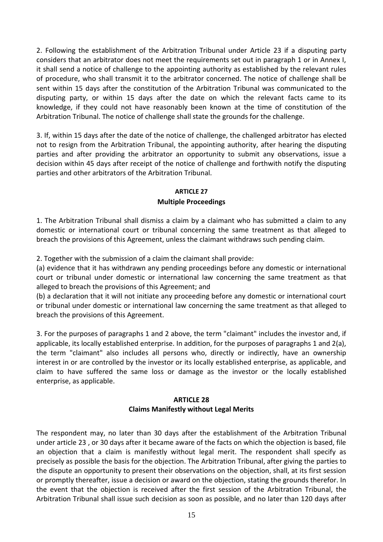2. Following the establishment of the Arbitration Tribunal under Article 23 if a disputing party considers that an arbitrator does not meet the requirements set out in paragraph 1 or in Annex I, it shall send a notice of challenge to the appointing authority as established by the relevant rules of procedure, who shall transmit it to the arbitrator concerned. The notice of challenge shall be sent within 15 days after the constitution of the Arbitration Tribunal was communicated to the disputing party, or within 15 days after the date on which the relevant facts came to its knowledge, if they could not have reasonably been known at the time of constitution of the Arbitration Tribunal. The notice of challenge shall state the grounds for the challenge.

3. If, within 15 days after the date of the notice of challenge, the challenged arbitrator has elected not to resign from the Arbitration Tribunal, the appointing authority, after hearing the disputing parties and after providing the arbitrator an opportunity to submit any observations, issue a decision within 45 days after receipt of the notice of challenge and forthwith notify the disputing parties and other arbitrators of the Arbitration Tribunal.

## **ARTICLE 27 Multiple Proceedings**

1. The Arbitration Tribunal shall dismiss a claim by a claimant who has submitted a claim to any domestic or international court or tribunal concerning the same treatment as that alleged to breach the provisions of this Agreement, unless the claimant withdraws such pending claim.

2. Together with the submission of a claim the claimant shall provide:

(a) evidence that it has withdrawn any pending proceedings before any domestic or international court or tribunal under domestic or international law concerning the same treatment as that alleged to breach the provisions of this Agreement; and

(b) a declaration that it will not initiate any proceeding before any domestic or international court or tribunal under domestic or international law concerning the same treatment as that alleged to breach the provisions of this Agreement.

3. For the purposes of paragraphs 1 and 2 above, the term "claimant" includes the investor and, if applicable, its locally established enterprise. In addition, for the purposes of paragraphs 1 and 2(a), the term "claimant" also includes all persons who, directly or indirectly, have an ownership interest in or are controlled by the investor or its locally established enterprise, as applicable, and claim to have suffered the same loss or damage as the investor or the locally established enterprise, as applicable.

## **ARTICLE 28 Claims Manifestly without Legal Merits**

The respondent may, no later than 30 days after the establishment of the Arbitration Tribunal under article 23 , or 30 days after it became aware of the facts on which the objection is based, file an objection that a claim is manifestly without legal merit. The respondent shall specify as precisely as possible the basis for the objection. The Arbitration Tribunal, after giving the parties to the dispute an opportunity to present their observations on the objection, shall, at its first session or promptly thereafter, issue a decision or award on the objection, stating the grounds therefor. In the event that the objection is received after the first session of the Arbitration Tribunal, the Arbitration Tribunal shall issue such decision as soon as possible, and no later than 120 days after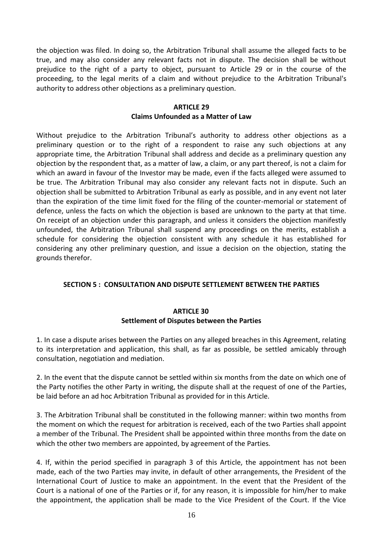the objection was filed. In doing so, the Arbitration Tribunal shall assume the alleged facts to be true, and may also consider any relevant facts not in dispute. The decision shall be without prejudice to the right of a party to object, pursuant to Article 29 or in the course of the proceeding, to the legal merits of a claim and without prejudice to the Arbitration Tribunal's authority to address other objections as a preliminary question.

## **ARTICLE 29 Claims Unfounded as a Matter of Law**

Without prejudice to the Arbitration Tribunal's authority to address other objections as a preliminary question or to the right of a respondent to raise any such objections at any appropriate time, the Arbitration Tribunal shall address and decide as a preliminary question any objection by the respondent that, as a matter of law, a claim, or any part thereof, is not a claim for which an award in favour of the Investor may be made, even if the facts alleged were assumed to be true. The Arbitration Tribunal may also consider any relevant facts not in dispute. Such an objection shall be submitted to Arbitration Tribunal as early as possible, and in any event not later than the expiration of the time limit fixed for the filing of the counter-memorial or statement of defence, unless the facts on which the objection is based are unknown to the party at that time. On receipt of an objection under this paragraph, and unless it considers the objection manifestly unfounded, the Arbitration Tribunal shall suspend any proceedings on the merits, establish a schedule for considering the objection consistent with any schedule it has established for considering any other preliminary question, and issue a decision on the objection, stating the grounds therefor.

## **SECTION 5 : CONSULTATION AND DISPUTE SETTLEMENT BETWEEN THE PARTIES**

## **ARTICLE 30 Settlement of Disputes between the Parties**

1. In case a dispute arises between the Parties on any alleged breaches in this Agreement, relating to its interpretation and application, this shall, as far as possible, be settled amicably through consultation, negotiation and mediation.

2. In the event that the dispute cannot be settled within six months from the date on which one of the Party notifies the other Party in writing, the dispute shall at the request of one of the Parties, be laid before an ad hoc Arbitration Tribunal as provided for in this Article.

3. The Arbitration Tribunal shall be constituted in the following manner: within two months from the moment on which the request for arbitration is received, each of the two Parties shall appoint a member of the Tribunal. The President shall be appointed within three months from the date on which the other two members are appointed, by agreement of the Parties.

4. If, within the period specified in paragraph 3 of this Article, the appointment has not been made, each of the two Parties may invite, in default of other arrangements, the President of the International Court of Justice to make an appointment. In the event that the President of the Court is a national of one of the Parties or if, for any reason, it is impossible for him/her to make the appointment, the application shall be made to the Vice President of the Court. If the Vice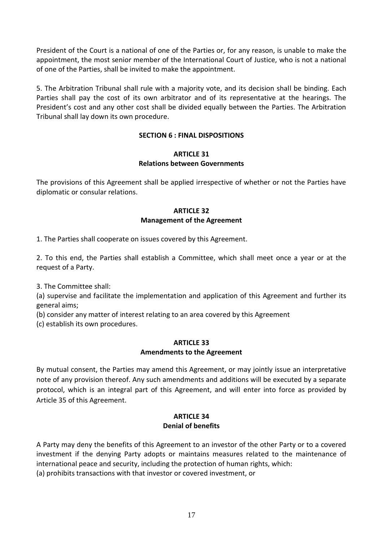President of the Court is a national of one of the Parties or, for any reason, is unable to make the appointment, the most senior member of the International Court of Justice, who is not a national of one of the Parties, shall be invited to make the appointment.

5. The Arbitration Tribunal shall rule with a majority vote, and its decision shall be binding. Each Parties shall pay the cost of its own arbitrator and of its representative at the hearings. The President's cost and any other cost shall be divided equally between the Parties. The Arbitration Tribunal shall lay down its own procedure.

## **SECTION 6 : FINAL DISPOSITIONS**

#### **ARTICLE 31 Relations between Governments**

The provisions of this Agreement shall be applied irrespective of whether or not the Parties have diplomatic or consular relations.

## **ARTICLE 32 Management of the Agreement**

1. The Parties shall cooperate on issues covered by this Agreement.

2. To this end, the Parties shall establish a Committee, which shall meet once a year or at the request of a Party.

3. The Committee shall:

(a) supervise and facilitate the implementation and application of this Agreement and further its general aims;

(b) consider any matter of interest relating to an area covered by this Agreement

(c) establish its own procedures.

#### **ARTICLE 33 Amendments to the Agreement**

By mutual consent, the Parties may amend this Agreement, or may jointly issue an interpretative note of any provision thereof. Any such amendments and additions will be executed by a separate protocol, which is an integral part of this Agreement, and will enter into force as provided by Article 35 of this Agreement.

## **ARTICLE 34 Denial of benefits**

A Party may deny the benefits of this Agreement to an investor of the other Party or to a covered investment if the denying Party adopts or maintains measures related to the maintenance of international peace and security, including the protection of human rights, which: (a) prohibits transactions with that investor or covered investment, or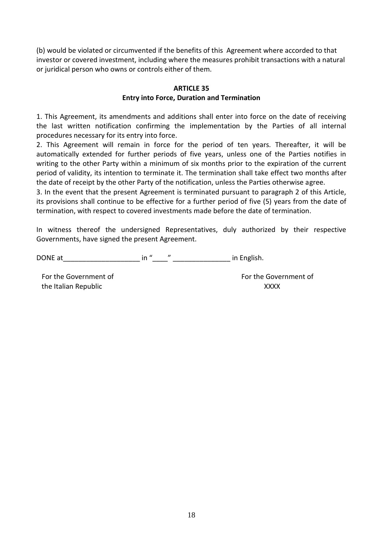(b) would be violated or circumvented if the benefits of this Agreement where accorded to that investor or covered investment, including where the measures prohibit transactions with a natural or juridical person who owns or controls either of them.

## **ARTICLE 35 Entry into Force, Duration and Termination**

1. This Agreement, its amendments and additions shall enter into force on the date of receiving the last written notification confirming the implementation by the Parties of all internal procedures necessary for its entry into force.

2. This Agreement will remain in force for the period of ten years. Thereafter, it will be automatically extended for further periods of five years, unless one of the Parties notifies in writing to the other Party within a minimum of six months prior to the expiration of the current period of validity, its intention to terminate it. The termination shall take effect two months after the date of receipt by the other Party of the notification, unless the Parties otherwise agree.

3. In the event that the present Agreement is terminated pursuant to paragraph 2 of this Article, its provisions shall continue to be effective for a further period of five (5) years from the date of termination, with respect to covered investments made before the date of termination.

In witness thereof the undersigned Representatives, duly authorized by their respective Governments, have signed the present Agreement.

DONE at the contract of the contract of the in " and the contract of the contract of the contract of the contract of the contract of the contract of the contract of the contract of the contract of the contract of the contr

the Italian Republic XXXX

For the Government of For the Government of For the Government of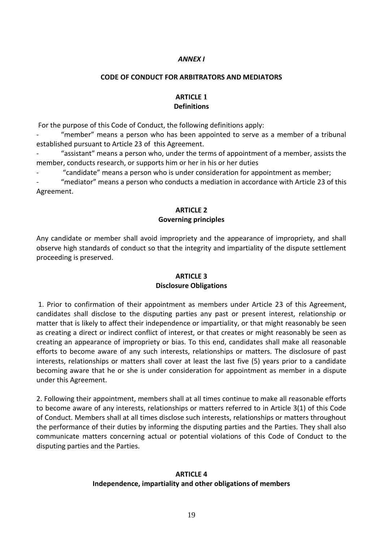#### *ANNEX I*

#### **CODE OF CONDUCT FOR ARBITRATORS AND MEDIATORS**

## **ARTICLE 1 Definitions**

For the purpose of this Code of Conduct, the following definitions apply:

"member" means a person who has been appointed to serve as a member of a tribunal established pursuant to Article 23 of this Agreement.

- "assistant" means a person who, under the terms of appointment of a member, assists the member, conducts research, or supports him or her in his or her duties

"candidate" means a person who is under consideration for appointment as member;

- "mediator" means a person who conducts a mediation in accordance with Article 23 of this Agreement.

## **ARTICLE 2 Governing principles**

Any candidate or member shall avoid impropriety and the appearance of impropriety, and shall observe high standards of conduct so that the integrity and impartiality of the dispute settlement proceeding is preserved.

# **ARTICLE 3**

## **Disclosure Obligations**

1. Prior to confirmation of their appointment as members under Article 23 of this Agreement, candidates shall disclose to the disputing parties any past or present interest, relationship or matter that is likely to affect their independence or impartiality, or that might reasonably be seen as creating a direct or indirect conflict of interest, or that creates or might reasonably be seen as creating an appearance of impropriety or bias. To this end, candidates shall make all reasonable efforts to become aware of any such interests, relationships or matters. The disclosure of past interests, relationships or matters shall cover at least the last five (5) years prior to a candidate becoming aware that he or she is under consideration for appointment as member in a dispute under this Agreement.

2. Following their appointment, members shall at all times continue to make all reasonable efforts to become aware of any interests, relationships or matters referred to in Article 3(1) of this Code of Conduct. Members shall at all times disclose such interests, relationships or matters throughout the performance of their duties by informing the disputing parties and the Parties. They shall also communicate matters concerning actual or potential violations of this Code of Conduct to the disputing parties and the Parties.

#### **ARTICLE 4 Independence, impartiality and other obligations of members**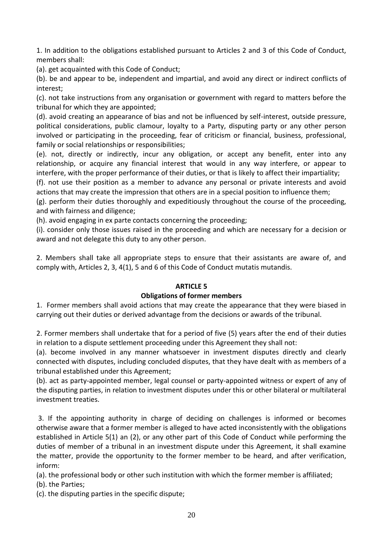1. In addition to the obligations established pursuant to Articles 2 and 3 of this Code of Conduct, members shall:

(a). get acquainted with this Code of Conduct;

(b). be and appear to be, independent and impartial, and avoid any direct or indirect conflicts of interest;

(c). not take instructions from any organisation or government with regard to matters before the tribunal for which they are appointed;

(d). avoid creating an appearance of bias and not be influenced by self-interest, outside pressure, political considerations, public clamour, loyalty to a Party, disputing party or any other person involved or participating in the proceeding, fear of criticism or financial, business, professional, family or social relationships or responsibilities;

(e). not, directly or indirectly, incur any obligation, or accept any benefit, enter into any relationship, or acquire any financial interest that would in any way interfere, or appear to interfere, with the proper performance of their duties, or that is likely to affect their impartiality;

(f). not use their position as a member to advance any personal or private interests and avoid actions that may create the impression that others are in a special position to influence them;

(g). perform their duties thoroughly and expeditiously throughout the course of the proceeding, and with fairness and diligence;

(h). avoid engaging in ex parte contacts concerning the proceeding;

(i). consider only those issues raised in the proceeding and which are necessary for a decision or award and not delegate this duty to any other person.

2. Members shall take all appropriate steps to ensure that their assistants are aware of, and comply with, Articles 2, 3, 4(1), 5 and 6 of this Code of Conduct mutatis mutandis.

## **ARTICLE 5**

## **Obligations of former members**

1. Former members shall avoid actions that may create the appearance that they were biased in carrying out their duties or derived advantage from the decisions or awards of the tribunal.

2. Former members shall undertake that for a period of five (5) years after the end of their duties in relation to a dispute settlement proceeding under this Agreement they shall not:

(a). become involved in any manner whatsoever in investment disputes directly and clearly connected with disputes, including concluded disputes, that they have dealt with as members of a tribunal established under this Agreement;

(b). act as party-appointed member, legal counsel or party-appointed witness or expert of any of the disputing parties, in relation to investment disputes under this or other bilateral or multilateral investment treaties.

3. If the appointing authority in charge of deciding on challenges is informed or becomes otherwise aware that a former member is alleged to have acted inconsistently with the obligations established in Article 5(1) an (2), or any other part of this Code of Conduct while performing the duties of member of a tribunal in an investment dispute under this Agreement, it shall examine the matter, provide the opportunity to the former member to be heard, and after verification, inform:

(a). the professional body or other such institution with which the former member is affiliated;

(b). the Parties;

(c). the disputing parties in the specific dispute;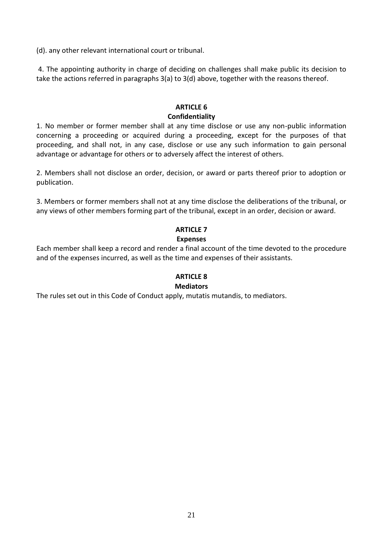(d). any other relevant international court or tribunal.

4. The appointing authority in charge of deciding on challenges shall make public its decision to take the actions referred in paragraphs 3(a) to 3(d) above, together with the reasons thereof.

## **ARTICLE 6 Confidentiality**

1. No member or former member shall at any time disclose or use any non-public information concerning a proceeding or acquired during a proceeding, except for the purposes of that proceeding, and shall not, in any case, disclose or use any such information to gain personal advantage or advantage for others or to adversely affect the interest of others.

2. Members shall not disclose an order, decision, or award or parts thereof prior to adoption or publication.

3. Members or former members shall not at any time disclose the deliberations of the tribunal, or any views of other members forming part of the tribunal, except in an order, decision or award.

## **ARTICLE 7 Expenses**

Each member shall keep a record and render a final account of the time devoted to the procedure and of the expenses incurred, as well as the time and expenses of their assistants.

#### **ARTICLE 8 Mediators**

The rules set out in this Code of Conduct apply, mutatis mutandis, to mediators.